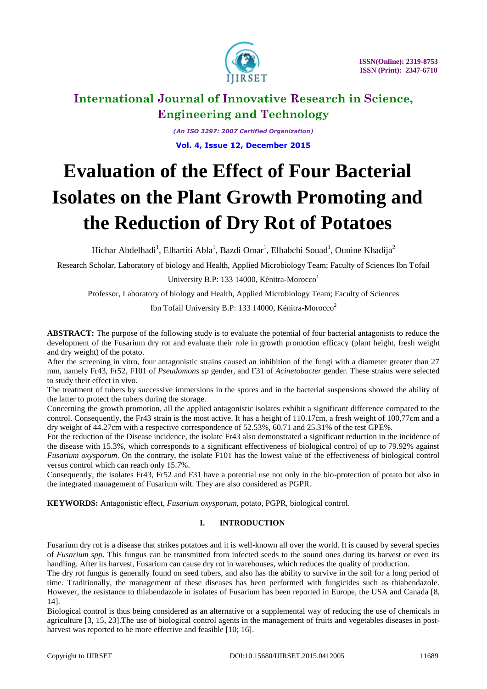

*(An ISO 3297: 2007 Certified Organization)* **Vol. 4, Issue 12, December 2015**

# **Evaluation of the Effect of Four Bacterial Isolates on the Plant Growth Promoting and the Reduction of Dry Rot of Potatoes**

Hichar Abdelhadi<sup>1</sup>, Elhartiti Abla<sup>1</sup>, Bazdi Omar<sup>1</sup>, Elhabchi Souad<sup>1</sup>, Ounine Khadija<sup>2</sup>

Research Scholar, Laboratory of biology and Health, Applied Microbiology Team; Faculty of Sciences Ibn Tofail

University B.P: 133 14000, Kénitra-Morocco<sup>1</sup>

Professor, Laboratory of biology and Health, Applied Microbiology Team; Faculty of Sciences

Ibn Tofail University B.P: 133 14000, Kénitra-Morocco<sup>2</sup>

**ABSTRACT:** The purpose of the following study is to evaluate the potential of four bacterial antagonists to reduce the development of the Fusarium dry rot and evaluate their role in growth promotion efficacy (plant height, fresh weight and dry weight) of the potato.

After the screening in vitro, four antagonistic strains caused an inhibition of the fungi with a diameter greater than 27 mm, namely Fr43, Fr52, F101 of *Pseudomons sp* gender, and F31 of *Acinetobacter* gender. These strains were selected to study their effect in vivo.

The treatment of tubers by successive immersions in the spores and in the bacterial suspensions showed the ability of the latter to protect the tubers during the storage.

Concerning the growth promotion, all the applied antagonistic isolates exhibit a significant difference compared to the control. Consequently, the Fr43 strain is the most active. It has a height of 110.17cm, a fresh weight of 100,77cm and a dry weight of 44.27cm with a respective correspondence of 52.53%, 60.71 and 25.31% of the test GPE%.

For the reduction of the Disease incidence, the isolate Fr43 also demonstrated a significant reduction in the incidence of the disease with 15.3%, which corresponds to a significant effectiveness of biological control of up to 79.92% against *Fusarium oxysporum*. On the contrary, the isolate F101 has the lowest value of the effectiveness of biological control versus control which can reach only 15.7%.

Consequently, the isolates Fr43, Fr52 and F31 have a potential use not only in the bio-protection of potato but also in the integrated management of Fusarium wilt. They are also considered as PGPR.

**KEYWORDS:** Antagonistic effect, *Fusarium oxysporum*, potato, PGPR, biological control.

#### **I. INTRODUCTION**

Fusarium dry rot is a disease that strikes potatoes and it is well-known all over the world. It is caused by several species of *Fusarium spp*. This fungus can be transmitted from infected seeds to the sound ones during its harvest or even its handling. After its harvest, Fusarium can cause dry rot in warehouses, which reduces the quality of production.

The dry rot fungus is generally found on seed tubers, and also has the ability to survive in the soil for a long period of time. Traditionally, the management of these diseases has been performed with fungicides such as thiabendazole. However, the resistance to thiabendazole in isolates of Fusarium has been reported in Europe, the USA and Canada [8, 14].

Biological control is thus being considered as an alternative or a supplemental way of reducing the use of chemicals in agriculture [3, 15, 23].The use of biological control agents in the management of fruits and vegetables diseases in postharvest was reported to be more effective and feasible [10; 16].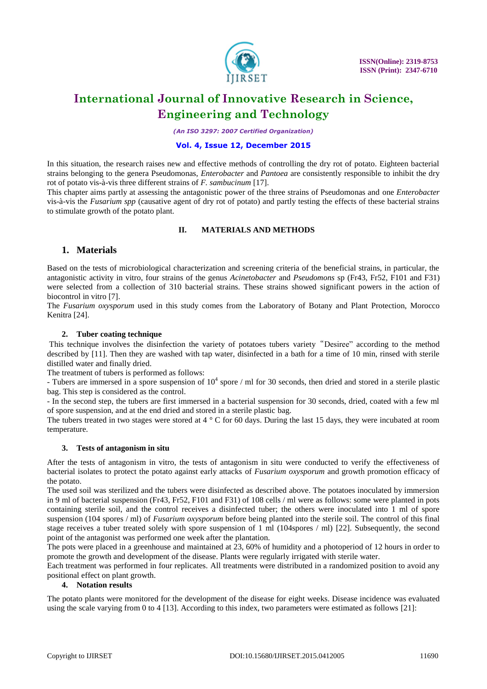

*(An ISO 3297: 2007 Certified Organization)*

#### **Vol. 4, Issue 12, December 2015**

In this situation, the research raises new and effective methods of controlling the dry rot of potato. Eighteen bacterial strains belonging to the genera Pseudomonas, *Enterobacter* and *Pantoea* are consistently responsible to inhibit the dry rot of potato vis-à-vis three different strains of *F. sambucinum* [17].

This chapter aims partly at assessing the antagonistic power of the three strains of Pseudomonas and one *Enterobacter* vis-à-vis the *Fusarium spp* (causative agent of dry rot of potato) and partly testing the effects of these bacterial strains to stimulate growth of the potato plant.

#### **II. MATERIALS AND METHODS**

### **1. Materials**

Based on the tests of microbiological characterization and screening criteria of the beneficial strains, in particular, the antagonistic activity in vitro, four strains of the genus *Acinetobacter* and *Pseudomons* sp (Fr43, Fr52, F101 and F31) were selected from a collection of 310 bacterial strains. These strains showed significant powers in the action of biocontrol in vitro [7].

The *Fusarium oxysporum* used in this study comes from the Laboratory of Botany and Plant Protection, Morocco Kenitra [24].

#### **2. Tuber coating technique**

This technique involves the disinfection the variety of potatoes tubers variety "Desiree" according to the method described by [11]. Then they are washed with tap water, disinfected in a bath for a time of 10 min, rinsed with sterile distilled water and finally dried.

The treatment of tubers is performed as follows:

- Tubers are immersed in a spore suspension of  $10^4$  spore / ml for 30 seconds, then dried and stored in a sterile plastic bag. This step is considered as the control.

- In the second step, the tubers are first immersed in a bacterial suspension for 30 seconds, dried, coated with a few ml of spore suspension, and at the end dried and stored in a sterile plastic bag.

The tubers treated in two stages were stored at  $4^{\circ}$  C for 60 days. During the last 15 days, they were incubated at room temperature.

#### **3. Tests of antagonism in situ**

After the tests of antagonism in vitro, the tests of antagonism in situ were conducted to verify the effectiveness of bacterial isolates to protect the potato against early attacks of *Fusarium oxysporum* and growth promotion efficacy of the potato.

The used soil was sterilized and the tubers were disinfected as described above. The potatoes inoculated by immersion in 9 ml of bacterial suspension (Fr43, Fr52, F101 and F31) of 108 cells / ml were as follows: some were planted in pots containing sterile soil, and the control receives a disinfected tuber; the others were inoculated into 1 ml of spore suspension (104 spores / ml) of *Fusarium oxysporum* before being planted into the sterile soil. The control of this final stage receives a tuber treated solely with spore suspension of 1 ml (104spores / ml) [22]. Subsequently, the second point of the antagonist was performed one week after the plantation.

The pots were placed in a greenhouse and maintained at 23, 60% of humidity and a photoperiod of 12 hours in order to promote the growth and development of the disease. Plants were regularly irrigated with sterile water.

Each treatment was performed in four replicates. All treatments were distributed in a randomized position to avoid any positional effect on plant growth.

#### **4. Notation results**

The potato plants were monitored for the development of the disease for eight weeks. Disease incidence was evaluated using the scale varying from 0 to 4 [13]. According to this index, two parameters were estimated as follows [21]: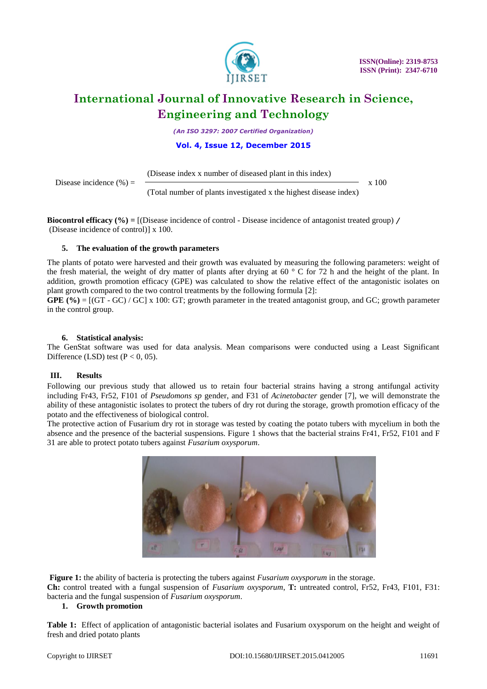

*(An ISO 3297: 2007 Certified Organization)*

#### **Vol. 4, Issue 12, December 2015**

(Disease index x number of diseased plant in this index)

Disease incidence  $(\%) =$   $\qquad$ (Total number of plants investigated x the highest disease index)

**Biocontrol efficacy (%) =** [(Disease incidence of control - Disease incidence of antagonist treated group) / (Disease incidence of control)] x 100.

### **5. The evaluation of the growth parameters**

The plants of potato were harvested and their growth was evaluated by measuring the following parameters: weight of the fresh material, the weight of dry matter of plants after drying at 60  $\degree$  C for 72 h and the height of the plant. In addition, growth promotion efficacy (GPE) was calculated to show the relative effect of the antagonistic isolates on plant growth compared to the two control treatments by the following formula [2]:

**GPE**  $(\% ) = [(GT - GC) / GC] \times 100$ : GT; growth parameter in the treated antagonist group, and GC; growth parameter in the control group.

#### **6. Statistical analysis:**

The GenStat software was used for data analysis. Mean comparisons were conducted using a Least Significant Difference (LSD) test ( $P < 0$ , 05).

#### **III. Results**

Following our previous study that allowed us to retain four bacterial strains having a strong antifungal activity including Fr43, Fr52, F101 of *Pseudomons sp* gender, and F31 of *Acinetobacter* gender [7], we will demonstrate the ability of these antagonistic isolates to protect the tubers of dry rot during the storage, growth promotion efficacy of the potato and the effectiveness of biological control.

The protective action of Fusarium dry rot in storage was tested by coating the potato tubers with mycelium in both the absence and the presence of the bacterial suspensions. Figure 1 shows that the bacterial strains Fr41, Fr52, F101 and F 31 are able to protect potato tubers against *Fusarium oxysporum*.



**Figure 1:** the ability of bacteria is protecting the tubers against *Fusarium oxysporum* in the storage. **Ch:** control treated with a fungal suspension of *Fusarium oxysporum*, **T:** untreated control, Fr52, Fr43, F101, F31: bacteria and the fungal suspension of *Fusarium oxysporum*.

#### **1. Growth promotion**

**Table 1:** Effect of application of antagonistic bacterial isolates and Fusarium oxysporum on the height and weight of fresh and dried potato plants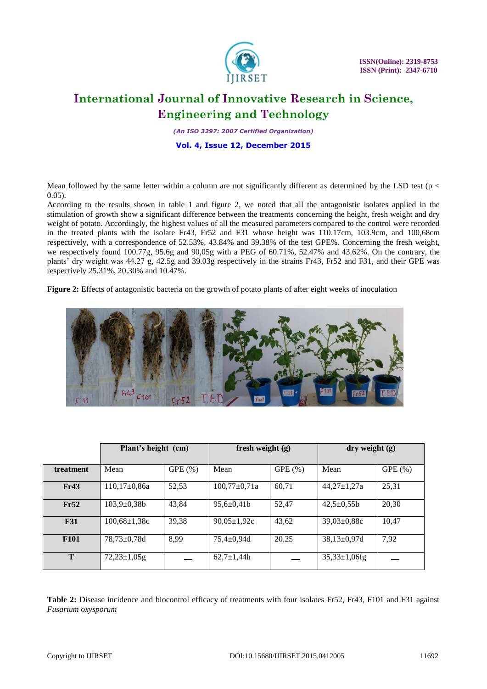

 **ISSN(Online): 2319-8753 ISSN (Print): 2347-6710**

## **International Journal of Innovative Research in Science, Engineering and Technology**

*(An ISO 3297: 2007 Certified Organization)*

**Vol. 4, Issue 12, December 2015**

Mean followed by the same letter within a column are not significantly different as determined by the LSD test ( $p <$ 0.05).

According to the results shown in table 1 and figure 2, we noted that all the antagonistic isolates applied in the stimulation of growth show a significant difference between the treatments concerning the height, fresh weight and dry weight of potato. Accordingly, the highest values of all the measured parameters compared to the control were recorded in the treated plants with the isolate Fr43, Fr52 and F31 whose height was 110.17cm, 103.9cm, and 100,68cm respectively, with a correspondence of 52.53%, 43.84% and 39.38% of the test GPE%. Concerning the fresh weight, we respectively found 100.77g, 95.6g and 90,05g with a PEG of 60.71%, 52.47% and 43.62%. On the contrary, the plants' dry weight was 44.27 g, 42.5g and 39.03g respectively in the strains Fr43, Fr52 and F31, and their GPE was respectively 25.31%, 20.30% and 10.47%.

**Figure 2:** Effects of antagonistic bacteria on the growth of potato plants of after eight weeks of inoculation



|             | Plant's height (cm) |        | fresh weight $(g)$ |        | $\mathbf{dry}$ weight $(g)$ |        |
|-------------|---------------------|--------|--------------------|--------|-----------------------------|--------|
| treatment   | Mean                | GPE(%) | Mean               | GPE(%) | Mean                        | GPE(%) |
| Fr43        | $110,17\pm0,86a$    | 52,53  | $100,77 \pm 0,71a$ | 60,71  | $44,27 \pm 1,27a$           | 25,31  |
| Fr52        | $103,9 \pm 0,38b$   | 43,84  | $95,6 \pm 0,41$    | 52,47  | $42,5 \pm 0,55b$            | 20,30  |
| <b>F31</b>  | $100,68 \pm 1,38c$  | 39,38  | $90.05 \pm 1.92c$  | 43,62  | $39.03 \pm 0.88c$           | 10,47  |
| <b>F101</b> | $78,73 \pm 0.78$ d  | 8.99   | $75.4 \pm 0.94$ d  | 20.25  | $38,13\pm0.97d$             | 7,92   |
| T           | $72,23 \pm 1,05$ g  |        | $62.7 \pm 1.44h$   |        | $35,33 \pm 1,06$ fg         |        |

Table 2: Disease incidence and biocontrol efficacy of treatments with four isolates Fr52, Fr43, F101 and F31 against *Fusarium oxysporum*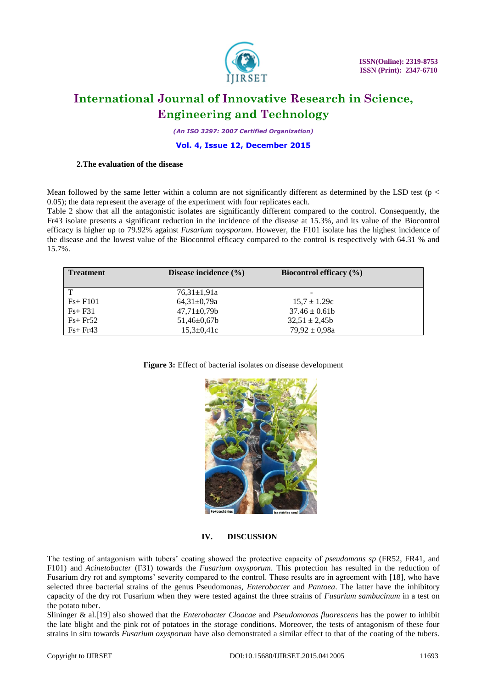

*(An ISO 3297: 2007 Certified Organization)*

#### **Vol. 4, Issue 12, December 2015**

#### **2.The evaluation of the disease**

Mean followed by the same letter within a column are not significantly different as determined by the LSD test ( $p <$ 0.05); the data represent the average of the experiment with four replicates each.

Table 2 show that all the antagonistic isolates are significantly different compared to the control. Consequently, the Fr43 isolate presents a significant reduction in the incidence of the disease at 15.3%, and its value of the Biocontrol efficacy is higher up to 79.92% against *Fusarium oxysporum*. However, the F101 isolate has the highest incidence of the disease and the lowest value of the Biocontrol efficacy compared to the control is respectively with 64.31 % and 15.7%.

| <b>Treatment</b> | Disease incidence $(\% )$ | Biocontrol efficacy $(\% )$ |  |
|------------------|---------------------------|-----------------------------|--|
| $\mathbf T$      | $76.31 \pm 1.91a$         |                             |  |
| $Fs + F101$      | $64,31\pm0.79a$           | $15.7 \pm 1.29c$            |  |
| $Fs + F31$       | $47,71 \pm 0,79b$         | $37.46 \pm 0.61b$           |  |
| $Fs + Fr52$      | $51,46 \pm 0.67$          | $32.51 \pm 2.45b$           |  |
| $Fs + Fr43$      | $15,3 \pm 0,41c$          | $79.92 \pm 0.98a$           |  |

#### **Figure 3:** Effect of bacterial isolates on disease development



#### **IV. DISCUSSION**

The testing of antagonism with tubers' coating showed the protective capacity of *pseudomons sp* (FR52, FR41, and F101) and *Acinetobacter* (F31) towards the *Fusarium oxysporum*. This protection has resulted in the reduction of Fusarium dry rot and symptoms' severity compared to the control. These results are in agreement with [18], who have selected three bacterial strains of the genus Pseudomonas, *Enterobacter* and *Pantoea*. The latter have the inhibitory capacity of the dry rot Fusarium when they were tested against the three strains of *Fusarium sambucinum* in a test on the potato tuber.

Slininger & al.[19] also showed that the *Enterobacter Cloacae* and *Pseudomonas fluorescens* has the power to inhibit the late blight and the pink rot of potatoes in the storage conditions. Moreover, the tests of antagonism of these four strains in situ towards *Fusarium oxysporum* have also demonstrated a similar effect to that of the coating of the tubers.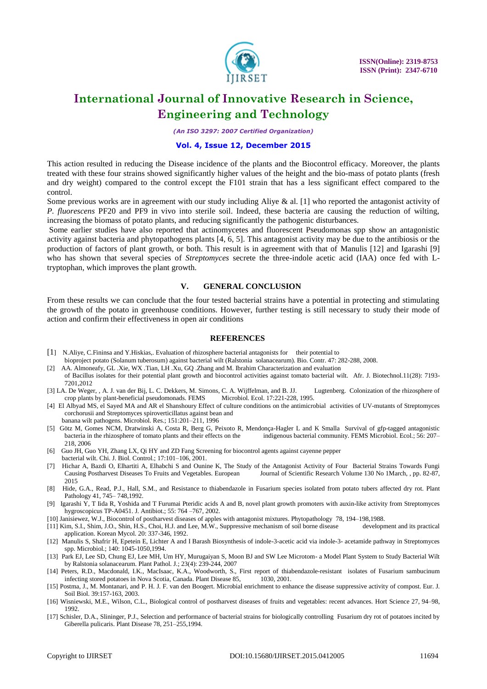

*(An ISO 3297: 2007 Certified Organization)*

#### **Vol. 4, Issue 12, December 2015**

This action resulted in reducing the Disease incidence of the plants and the Biocontrol efficacy. Moreover, the plants treated with these four strains showed significantly higher values of the height and the bio-mass of potato plants (fresh and dry weight) compared to the control except the F101 strain that has a less significant effect compared to the control.

Some previous works are in agreement with our study including Aliye  $\&$  al. [1] who reported the antagonist activity of *P. fluorescens* PF20 and PF9 in vivo into sterile soil. Indeed, these bacteria are causing the reduction of wilting, increasing the biomass of potato plants, and reducing significantly the pathogenic disturbances.

Some earlier studies have also reported that actinomycetes and fluorescent Pseudomonas spp show an antagonistic activity against bacteria and phytopathogens plants [4, 6, 5]. This antagonist activity may be due to the antibiosis or the production of factors of plant growth, or both. This result is in agreement with that of Manulis [12] and Igarashi [9] who has shown that several species of *Streptomyces* secrete the three-indole acetic acid (IAA) once fed with Ltryptophan, which improves the plant growth.

#### **V. GENERAL CONCLUSION**

From these results we can conclude that the four tested bacterial strains have a potential in protecting and stimulating the growth of the potato in greenhouse conditions. However, further testing is still necessary to study their mode of action and confirm their effectiveness in open air conditions

#### **REFERENCES**

- [1] N.Aliye, C.Fininsa and Y.Hiskias,. Evaluation of rhizosphere bacterial antagonists for their potential to
- bioproject potato (Solanum tuberosum) against bacterial wilt (Ralstonia solanacearum). Bio. Contr. 47: 282-288, 2008.
- [2] AA. Almoneafy, GL .Xie, WX .Tian, LH .Xu, GQ .Zhang and M. Ibrahim Characterization and evaluation
- of Bacillus isolates for their potential plant growth and biocontrol activities against tomato bacterial wilt. Afr. J. Biotechnol.11(28): 7193- 7201,2012
- [3] LA. De Weger, , A. J. van der Bij, L. C. Dekkers, M. Simons, C. A. Wijffelman, and B. JJ. Lugtenberg. Colonization of the rhizosphere of crop plants by plant-beneficial pseudomonads. FEMS
- [4] El Albyad MS, el Sayed MA and AR el Shanshoury Effect of culture conditions on the antimicrobial activities of UV-mutants of Streptomyces corchorusii and Streptomyces spiroverticillatus against bean and banana wilt pathogens. Microbiol. Res.; 151:201–211, 1996
- [5] Götz M, Gomes NCM, Dratwinski A, Costa R, Berg G, Peixoto R, Mendonça-Hagler L and K Smalla Survival of gfp-tagged antagonistic bacteria in the rhizosphere of tomato plants and their effects on the indigenous bacterial community. FEMS Microbiol. Ecol.; 56: 207– 218, 2006
- [6] Guo JH, Guo YH, Zhang LX, Qi HY and ZD Fang Screening for biocontrol agents against cayenne pepper bacterial wilt. Chi. J. Biol. Control.; 17:101–106, 2001.
- [7] Hichar A, Bazdi O, Elhartiti A, Elhabchi S and Ounine K, The Study of the Antagonist Activity of Four Bacterial Strains Towards Fungi Causing Postharvest Diseases To Fruits and Vegetables. European Journal of Scientifi Journal of Scientific Research Volume 130 No 1March, , pp. 82-87, 2015
- [8] Hide, G.A., Read, P.J., Hall, S.M., and Resistance to thiabendazole in Fusarium species isolated from potato tubers affected dry rot. Plant Pathology 41, 745– 748,1992.
- [9] Igarashi Y, T Iida R, Yoshida and T Furumai Pteridic acids A and B, novel plant growth promoters with auxin-like activity from Streptomyces hygroscopicus TP-A0451. J. Antibiot.; 55: 764 –767, 2002.
- [10] Janisiewez, W.J., Biocontrol of postharvest diseases of apples with antagonist mixtures. Phytopathology 78, 194–198,1988.
- [11] Kim, S.I., Shim, J.O., Shin, H.S., Choi, H.J. and Lee, M.W., Suppressive mechanism of soil borne disease application. Korean Mycol. 20: 337-346, 1992.
- [12] Manulis S, Shafrir H, Epetein E, Lichter A and I Barash Biosynthesis of indole-3-acetic acid via indole-3- acetamide pathway in Streptomyces spp. Microbiol.; 140: 1045-1050,1994.
- [13] Park EJ, Lee SD, Chung EJ, Lee MH, Um HY, Murugaiyan S, Moon BJ and SW Lee Microtom- a Model Plant System to Study Bacterial Wilt by Ralstonia solanacearum. Plant Pathol. J.; 23(4): 239-244, 2007
- [14] Peters, R.D., Macdonald, I.K., MacIsaac, K.A., Woodworth, S., First report of thiabendazole-resistant isolates of Fusarium sambucinum infecting stored potatoes in Nova Scotia, Canada. Plant Disease 85,
- [15] Postma, J., M. Montanari, and P. H. J. F. van den Boogert. Microbial enrichment to enhance the disease suppressive activity of compost. Eur. J. Soil Biol. 39:157-163, 2003.
- [16] Wisniewski, M.E., Wilson, C.L., Biological control of postharvest diseases of fruits and vegetables: recent advances. Hort Science 27, 94–98, 1992.
- [17] Schisler, D.A., Slininger, P.J., Selection and performance of bacterial strains for biologically controlling Fusarium dry rot of potatoes incited by Giberella pulicaris. Plant Disease 78, 251–255,1994.